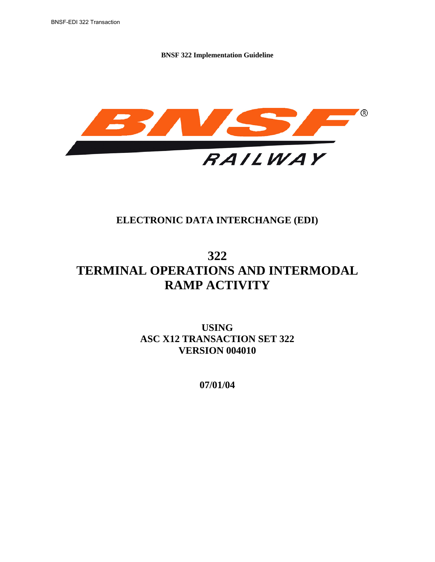

## **ELECTRONIC DATA INTERCHANGE (EDI)**

# **322 TERMINAL OPERATIONS AND INTERMODAL RAMP ACTIVITY**

**USING ASC X12 TRANSACTION SET 322 VERSION 004010** 

**07/01/04**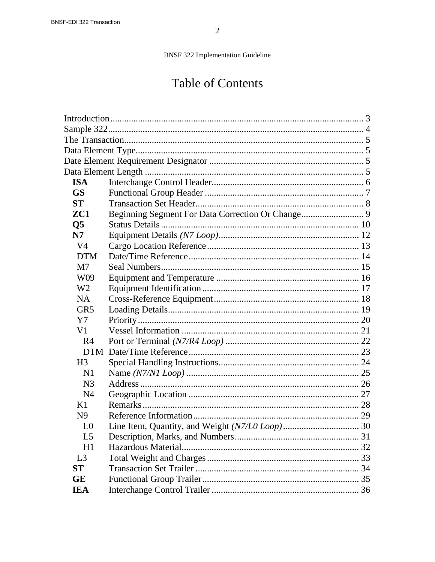# **Table of Contents**

| <b>ISA</b>             |  |  |  |  |  |
|------------------------|--|--|--|--|--|
| <b>GS</b>              |  |  |  |  |  |
| <b>ST</b>              |  |  |  |  |  |
| ZC1                    |  |  |  |  |  |
| $\overline{\text{Q5}}$ |  |  |  |  |  |
| N7                     |  |  |  |  |  |
| V <sub>4</sub>         |  |  |  |  |  |
| <b>DTM</b>             |  |  |  |  |  |
| M7                     |  |  |  |  |  |
| W09                    |  |  |  |  |  |
| W <sub>2</sub>         |  |  |  |  |  |
| <b>NA</b>              |  |  |  |  |  |
| GR <sub>5</sub>        |  |  |  |  |  |
| Y7                     |  |  |  |  |  |
| V1                     |  |  |  |  |  |
| R <sub>4</sub>         |  |  |  |  |  |
|                        |  |  |  |  |  |
| H <sub>3</sub>         |  |  |  |  |  |
| N <sub>1</sub>         |  |  |  |  |  |
| N <sub>3</sub>         |  |  |  |  |  |
| N <sub>4</sub>         |  |  |  |  |  |
| K1                     |  |  |  |  |  |
| N <sub>9</sub>         |  |  |  |  |  |
| L <sub>0</sub>         |  |  |  |  |  |
| L <sub>5</sub>         |  |  |  |  |  |
| H1                     |  |  |  |  |  |
| L <sub>3</sub>         |  |  |  |  |  |
| <b>ST</b>              |  |  |  |  |  |
| <b>GE</b>              |  |  |  |  |  |
| <b>IEA</b>             |  |  |  |  |  |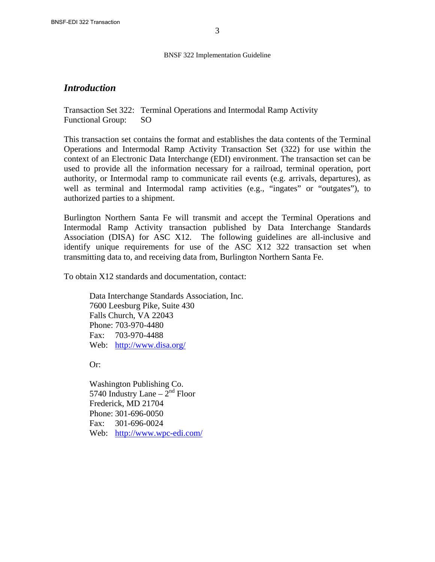#### *Introduction*

Transaction Set 322: Terminal Operations and Intermodal Ramp Activity Functional Group: SO

This transaction set contains the format and establishes the data contents of the Terminal Operations and Intermodal Ramp Activity Transaction Set (322) for use within the context of an Electronic Data Interchange (EDI) environment. The transaction set can be used to provide all the information necessary for a railroad, terminal operation, port authority, or Intermodal ramp to communicate rail events (e.g. arrivals, departures), as well as terminal and Intermodal ramp activities (e.g., "ingates" or "outgates"), to authorized parties to a shipment.

Burlington Northern Santa Fe will transmit and accept the Terminal Operations and Intermodal Ramp Activity transaction published by Data Interchange Standards Association (DISA) for ASC X12. The following guidelines are all-inclusive and identify unique requirements for use of the ASC X12 322 transaction set when transmitting data to, and receiving data from, Burlington Northern Santa Fe.

To obtain X12 standards and documentation, contact:

 Data Interchange Standards Association, Inc. 7600 Leesburg Pike, Suite 430 Falls Church, VA 22043 Phone: 703-970-4480 Fax: 703-970-4488 Web: http://www.disa.org/

Or:

 Washington Publishing Co. 5740 Industry Lane  $-2<sup>nd</sup>$  Floor Frederick, MD 21704 Phone: 301-696-0050 Fax: 301-696-0024 Web: http://www.wpc-edi.com/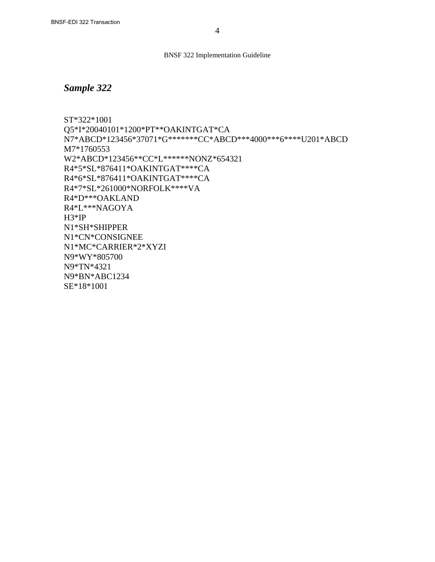### *Sample 322*

ST\*322\*1001 Q5\*I\*20040101\*1200\*PT\*\*OAKINTGAT\*CA N7\*ABCD\*123456\*37071\*G\*\*\*\*\*\*\*CC\*ABCD\*\*\*4000\*\*\*6\*\*\*\*U201\*ABCD M7\*1760553 W2\*ABCD\*123456\*\*CC\*L\*\*\*\*\*\*NONZ\*654321 R4\*5\*SL\*876411\*OAKINTGAT\*\*\*\*CA R4\*6\*SL\*876411\*OAKINTGAT\*\*\*\*CA R4\*7\*SL\*261000\*NORFOLK\*\*\*\*VA R4\*D\*\*\*OAKLAND R4\*L\*\*\*NAGOYA H3\*IP N1\*SH\*SHIPPER N1\*CN\*CONSIGNEE N1\*MC\*CARRIER\*2\*XYZI N9\*WY\*805700 N9\*TN\*4321 N9\*BN\*ABC1234 SE\*18\*1001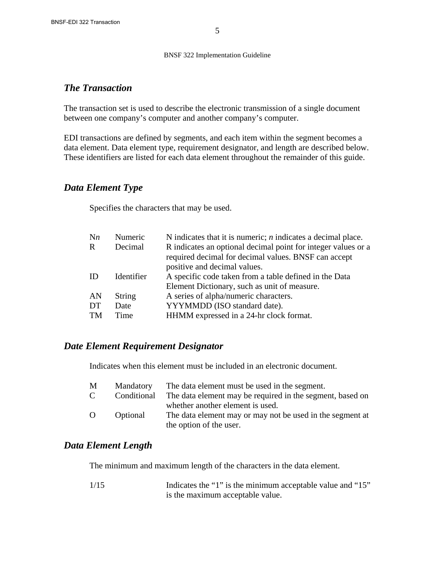#### *The Transaction*

The transaction set is used to describe the electronic transmission of a single document between one company's computer and another company's computer.

EDI transactions are defined by segments, and each item within the segment becomes a data element. Data element type, requirement designator, and length are described below. These identifiers are listed for each data element throughout the remainder of this guide.

### *Data Element Type*

Specifies the characters that may be used.

| $\mathbf{N}$ n | Numeric       | N indicates that it is numeric; $n$ indicates a decimal place.                                                        |
|----------------|---------------|-----------------------------------------------------------------------------------------------------------------------|
| R              | Decimal       | R indicates an optional decimal point for integer values or a<br>required decimal for decimal values. BNSF can accept |
|                |               | positive and decimal values.                                                                                          |
| ID             | Identifier    | A specific code taken from a table defined in the Data                                                                |
|                |               | Element Dictionary, such as unit of measure.                                                                          |
| AN             | <b>String</b> | A series of alpha/numeric characters.                                                                                 |
| DT             | Date          | YYYMMDD (ISO standard date).                                                                                          |
| <b>TM</b>      | Time          | HHMM expressed in a 24-hr clock format.                                                                               |
|                |               |                                                                                                                       |

### *Date Element Requirement Designator*

Indicates when this element must be included in an electronic document.

| M            | Mandatory   | The data element must be used in the segment.             |
|--------------|-------------|-----------------------------------------------------------|
| $\mathbf{C}$ | Conditional | The data element may be required in the segment, based on |
|              |             | whether another element is used.                          |
| $\Omega$     | Optional    | The data element may or may not be used in the segment at |
|              |             | the option of the user.                                   |

### *Data Element Length*

The minimum and maximum length of the characters in the data element.

| 1/15 | Indicates the "1" is the minimum acceptable value and "15" |
|------|------------------------------------------------------------|
|      | is the maximum acceptable value.                           |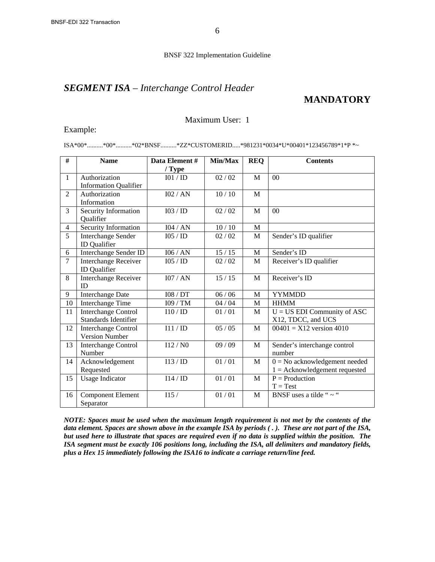### *SEGMENT ISA – Interchange Control Header*

#### **MANDATORY**

#### Maximum User: 1

#### Example:

ISA\*00\*..........\*00\*..........\*02\*BNSF..........\*ZZ\*CUSTOMERID.....\*981231\*0034\*U\*00401\*123456789\*1\*P \*~

| #              | <b>Name</b>                  | Data Element# | Min/Max | <b>REQ</b> | <b>Contents</b>                 |
|----------------|------------------------------|---------------|---------|------------|---------------------------------|
|                |                              | $/$ Type      |         |            |                                 |
| $\mathbf{1}$   | Authorization                | IO1 / ID      | 02 / 02 | M          | 0 <sup>0</sup>                  |
|                | <b>Information Qualifier</b> |               |         |            |                                 |
| $\overline{2}$ | Authorization                | 102 / AN      | 10/10   | M          |                                 |
|                | Information                  |               |         |            |                                 |
| 3              | Security Information         | I03 / ID      | 02 / 02 | M          | 0 <sup>0</sup>                  |
|                | Qualifier                    |               |         |            |                                 |
| 4              | Security Information         | I04 / AN      | 10/10   | M          |                                 |
| $\overline{5}$ | Interchange Sender           | I05 / ID      | 02 / 02 | M          | Sender's ID qualifier           |
|                | <b>ID</b> Qualifier          |               |         |            |                                 |
| 6              | Interchange Sender ID        | 106 / AN      | 15/15   | M          | Sender's ID                     |
| $\overline{7}$ | <b>Interchange Receiver</b>  | 105 / 1D      | 02 / 02 | M          | Receiver's ID qualifier         |
|                | <b>ID</b> Qualifier          |               |         |            |                                 |
| 8              | Interchange Receiver         | 107/AN        | 15/15   | M          | Receiver's ID                   |
|                | <b>ID</b>                    |               |         |            |                                 |
| 9              | <b>Interchange Date</b>      | I08 / DT      | 06/06   | M          | <b>YYMMDD</b>                   |
| 10             | <b>Interchange Time</b>      | I09 / TM      | 04/04   | M          | <b>HHMM</b>                     |
| 11             | <b>Interchange Control</b>   | I10/ID        | 01/01   | M          | $U = US$ EDI Community of ASC   |
|                | <b>Standards Identifier</b>  |               |         |            | X12, TDCC, and UCS              |
| 12             | <b>Interchange Control</b>   | I11 / ID      | 05/05   | M          | $00401 = X12$ version 4010      |
|                | <b>Version Number</b>        |               |         |            |                                 |
| 13             | Interchange Control          | I12/N0        | 09/09   | M          | Sender's interchange control    |
|                | Number                       |               |         |            | number                          |
| 14             | Acknowledgement              | I13/ID        | 01/01   | M          | $0 = No$ acknowledgement needed |
|                | Requested                    |               |         |            | $1 = Acknowledgement requested$ |
| 15             | <b>Usage Indicator</b>       | I14/ID        | 01/01   | M          | $P =$ Production                |
|                |                              |               |         |            | $T = Test$                      |
| 16             | <b>Component Element</b>     | I15/          | 01/01   | M          | BNSF uses a tilde " $\sim$ "    |
|                | Separator                    |               |         |            |                                 |

*NOTE: Spaces must be used when the maximum length requirement is not met by the contents of the data element. Spaces are shown above in the example ISA by periods ( . ). These are not part of the ISA, but used here to illustrate that spaces are required even if no data is supplied within the position. The ISA segment must be exactly 106 positions long, including the ISA, all delimiters and mandatory fields, plus a Hex 15 immediately following the ISA16 to indicate a carriage return/line feed.*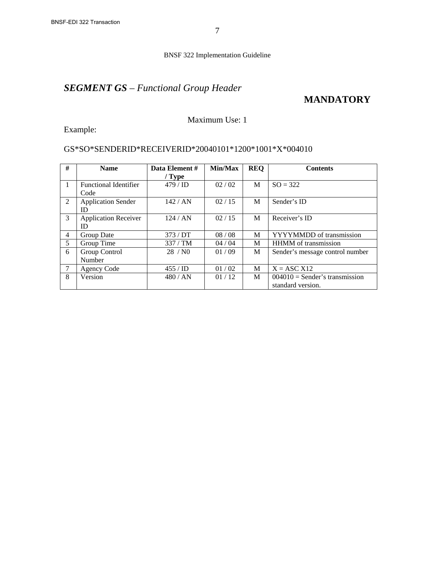# *SEGMENT GS – Functional Group Header*

## **MANDATORY**

#### Maximum Use: 1

Example:

#### GS\*SO\*SENDERID\*RECEIVERID\*20040101\*1200\*1001\*X\*004010

| #              | <b>Name</b>                  | Data Element # | Min/Max | <b>REO</b> | <b>Contents</b>                  |
|----------------|------------------------------|----------------|---------|------------|----------------------------------|
|                |                              | $/$ Type       |         |            |                                  |
| $\mathbf{1}$   | <b>Functional Identifier</b> | $479 /$ ID     | 02/02   | M          | $SO = 322$                       |
|                | Code                         |                |         |            |                                  |
| 2              | <b>Application Sender</b>    | 142 / AN       | 02/15   | M          | Sender's ID                      |
|                | ID                           |                |         |            |                                  |
| 3              | <b>Application Receiver</b>  | 124/AN         | 02/15   | M          | Receiver's ID                    |
|                | ID                           |                |         |            |                                  |
| $\overline{4}$ | Group Date                   | 373/DT         | 08/08   | М          | YYYYMMDD of transmission         |
| 5              | Group Time                   | 337/TM         | 04/04   | М          | <b>HHMM</b> of transmission      |
| 6              | Group Control                | 28/N0          | 01/09   | M          | Sender's message control number  |
|                | Number                       |                |         |            |                                  |
| 7              | Agency Code                  | $455 /$ ID     | 01/02   | M          | $X = ASC X12$                    |
| 8              | Version                      | 480 / AN       | 01/12   | M          | $004010$ = Sender's transmission |
|                |                              |                |         |            | standard version.                |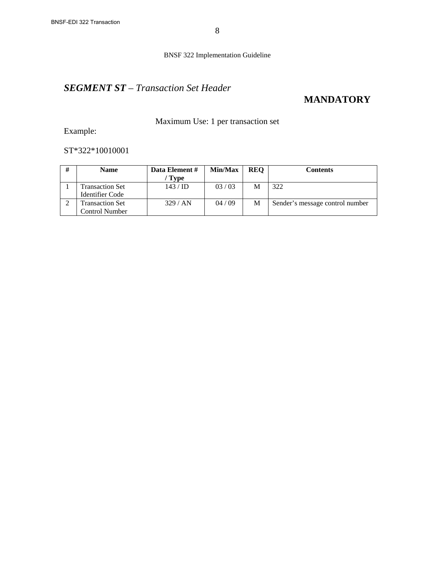## *SEGMENT ST – Transaction Set Header*

## **MANDATORY**

### Maximum Use: 1 per transaction set

Example:

ST\*322\*10010001

| # | <b>Name</b>                                     | Data Element #<br>' Type | Min/Max | <b>REO</b> | Contents                        |
|---|-------------------------------------------------|--------------------------|---------|------------|---------------------------------|
|   | Transaction Set<br>Identifier Code              | $143 / \text{ID}$        | 03/03   | M          | 322                             |
|   | <b>Transaction Set</b><br><b>Control Number</b> | 329/AN                   | 04/09   | М          | Sender's message control number |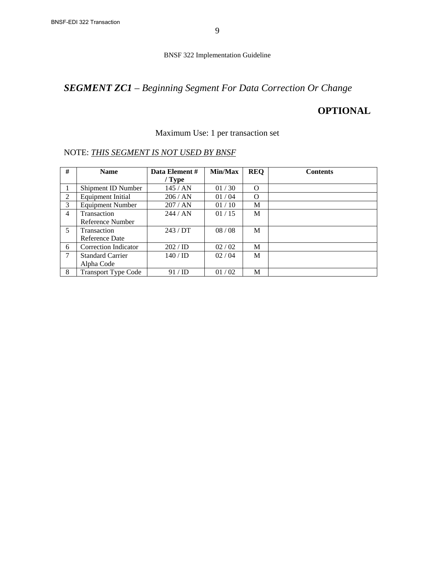# *SEGMENT ZC1 – Beginning Segment For Data Correction Or Change*

## **OPTIONAL**

#### Maximum Use: 1 per transaction set

| #              | <b>Name</b>                | Data Element # | Min/Max | <b>REQ</b> | <b>Contents</b> |
|----------------|----------------------------|----------------|---------|------------|-----------------|
|                |                            | $/$ Type       |         |            |                 |
|                | Shipment ID Number         | 145/AN         | 01/30   | $\Omega$   |                 |
| 2              | Equipment Initial          | 206 / AN       | 01/04   | $\Omega$   |                 |
| 3              | <b>Equipment Number</b>    | 207/AN         | 01/10   | M          |                 |
| $\overline{4}$ | <b>Transaction</b>         | 244/AN         | 01/15   | M          |                 |
|                | Reference Number           |                |         |            |                 |
| 5              | <b>Transaction</b>         | 243/DT         | 08/08   | M          |                 |
|                | Reference Date             |                |         |            |                 |
| 6              | Correction Indicator       | 202 / ID       | 02 / 02 | M          |                 |
| 7              | <b>Standard Carrier</b>    | 140 / ID       | 02 / 04 | M          |                 |
|                | Alpha Code                 |                |         |            |                 |
| 8              | <b>Transport Type Code</b> | 91/ID          | 01/02   | М          |                 |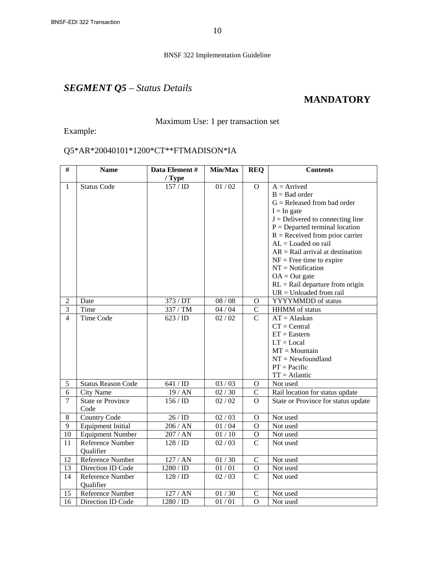# *SEGMENT Q5 – Status Details*

### **MANDATORY**

Maximum Use: 1 per transaction set

Example:

### Q5\*AR\*20040101\*1200\*CT\*\*FTMADISON\*IA

| $\overline{\#}$ | <b>Name</b>                      | Data Element #     | Min/Max            | <b>REQ</b>     | <b>Contents</b>                     |
|-----------------|----------------------------------|--------------------|--------------------|----------------|-------------------------------------|
|                 |                                  | / Type             |                    |                |                                     |
| $\mathbf{1}$    | <b>Status Code</b>               | 157 / ID           | 01/02              | $\overline{O}$ | $A =$ Arrived                       |
|                 |                                  |                    |                    |                | $B = Bad order$                     |
|                 |                                  |                    |                    |                | $G =$ Released from bad order       |
|                 |                                  |                    |                    |                | $I = In gate$                       |
|                 |                                  |                    |                    |                | $J =$ Delivered to connecting line  |
|                 |                                  |                    |                    |                | $P =$ Departed terminal location    |
|                 |                                  |                    |                    |                | $R =$ Received from prior carrier   |
|                 |                                  |                    |                    |                | $AL =$ Loaded on rail               |
|                 |                                  |                    |                    |                | $AR =$ Rail arrival at destination  |
|                 |                                  |                    |                    |                | $NF = Free$ time to expire          |
|                 |                                  |                    |                    |                | $NT = Notification$                 |
|                 |                                  |                    |                    |                | $OA = Out$ gate                     |
|                 |                                  |                    |                    |                | $RL =$ Rail departure from origin   |
|                 |                                  |                    |                    |                | $UR = Unloaded from rail$           |
| $\overline{2}$  | Date                             | 373 / DT           | 08/08              | O              | YYYYMMDD of status                  |
| $\overline{3}$  | Time                             | 337 / TM           | 04/04              | $\mathcal{C}$  | HHMM of status                      |
| $\overline{4}$  | <b>Time Code</b>                 | 623 / ID           | 02 / 02            | $\overline{C}$ | $AT = Alaskaan$                     |
|                 |                                  |                    |                    |                | $CT = Central$                      |
|                 |                                  |                    |                    |                | $ET = Eastern$                      |
|                 |                                  |                    |                    |                | $LT = Local$                        |
|                 |                                  |                    |                    |                | $MT = Mountain$                     |
|                 |                                  |                    |                    |                | $NT = Newtondland$                  |
|                 |                                  |                    |                    |                | $PT = Pacific$                      |
|                 |                                  |                    |                    |                | $TT = Atlantic$                     |
| 5               | <b>Status Reason Code</b>        | 641 / ID           | 03 / 03            | O              | Not used                            |
| 6               | <b>City Name</b>                 | 19/AN              | 02/30              | $\mathcal{C}$  | Rail location for status update     |
| $\overline{7}$  | <b>State or Province</b><br>Code | 156 / ID           | 02/02              | $\overline{O}$ | State or Province for status update |
| 8               | <b>Country Code</b>              | 26/ID              | 02 / 03            | $\mathbf O$    | Not used                            |
| 9               | <b>Equipment Initial</b>         | 206 / AN           | 01/04              | O              | Not used                            |
| 10              | <b>Equipment Number</b>          | $207$ / ${\rm AN}$ | 01/10              | $\mathbf O$    | Not used                            |
| 11              | Reference Number                 | 128 / ID           | 02 / 03            | $\mathcal{C}$  | Not used                            |
|                 | Qualifier                        |                    |                    |                |                                     |
| 12              | Reference Number                 | 127 / AN           | 01/30              | $\mathcal{C}$  | Not used                            |
| 13              | Direction ID Code                | 1280 / ID          | $\overline{0}1/01$ | $\mathbf O$    | Not used                            |
| 14              | Reference Number                 | 128 / ID           | 02 / 03            | $\mathbf C$    | Not used                            |
|                 | Qualifier                        |                    |                    |                |                                     |
| 15              | Reference Number                 | 127 / AN           | 01 / 30            | $\mathbf C$    | Not used                            |
| 16              | Direction ID Code                | 1280 / ID          | 01/01              | $\overline{0}$ | Not used                            |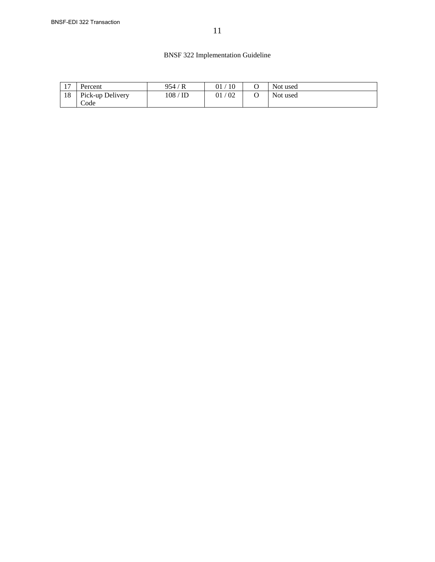| 17 | Percent          | 954,<br>'R  | 10<br>01 <sub>1</sub> | Not used |
|----|------------------|-------------|-----------------------|----------|
| 18 | Pick-up Delivery | 108 /<br>ID | 02<br>01 <sub>1</sub> | Not used |
|    | Code             |             |                       |          |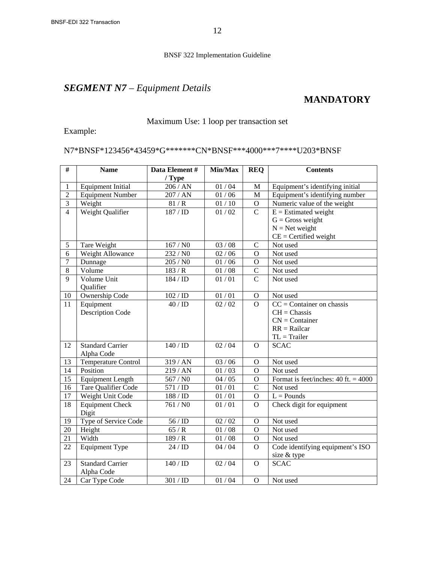# *SEGMENT N7 – Equipment Details*

### **MANDATORY**

#### Maximum Use: 1 loop per transaction set

Example:

#### N7\*BNSF\*123456\*43459\*G\*\*\*\*\*\*\*CN\*BNSF\*\*\*4000\*\*\*7\*\*\*\*U203\*BNSF

| #              | <b>Name</b>              | Data Element#<br>/ Type | Min/Max            | <b>REQ</b>     | <b>Contents</b>                                 |
|----------------|--------------------------|-------------------------|--------------------|----------------|-------------------------------------------------|
| $\mathbf{1}$   | <b>Equipment Initial</b> | 206 / AN                | 01/04              | M              | Equipment's identifying initial                 |
| $\overline{2}$ | <b>Equipment Number</b>  | 207 / AN                | $01/06$            | $\mathbf M$    | Equipment's identifying number                  |
| 3              | Weight                   | 81/R                    | $01/10$            | $\mathbf O$    | Numeric value of the weight                     |
| $\overline{4}$ | Weight Qualifier         | $187 / \overline{ID}$   | 01 / 02            | $\overline{C}$ | $E =$ Estimated weight                          |
|                |                          |                         |                    |                | $G = Gross$ weight                              |
|                |                          |                         |                    |                | $N = Net weight$                                |
|                |                          |                         |                    |                | $CE = \text{Certified weight}}$                 |
| 5              | Tare Weight              | 167/N0                  | 03/08              | $\mathsf{C}$   | Not used                                        |
| $\overline{6}$ | Weight Allowance         | 232 / N0                | 02/06              | $\Omega$       | Not used                                        |
| $\tau$         | Dunnage                  | $205/$ N0 $\,$          | $01/06$            | $\overline{O}$ | Not used                                        |
| $\overline{8}$ | Volume                   | 183/R                   | $01/08$            | $\mathcal{C}$  | Not used                                        |
| $\overline{9}$ | Volume Unit              | 184 / ID                | 01/01              | $\overline{C}$ | Not used                                        |
|                | Qualifier                |                         |                    |                |                                                 |
| 10             | Ownership Code           | 102 / ID                | $01/01$            | $\mathbf O$    | Not used                                        |
| 11             | Equipment                | 40/ID                   | $\frac{0}{2}$ / 02 | $\overline{O}$ | $CC =$ Container on chassis<br>$CH = Chassis$   |
|                | Description Code         |                         |                    |                | $CN =$ Container                                |
|                |                          |                         |                    |                | $RR = \text{Railcar}$                           |
|                |                          |                         |                    |                | $TL = Trailer$                                  |
| 12             | <b>Standard Carrier</b>  | 140 / ID                | 02 / 04            | $\Omega$       | <b>SCAC</b>                                     |
|                | Alpha Code               |                         |                    |                |                                                 |
| 13             | Temperature Control      | 319 / AN                | 03 / 06            | O              | Not used                                        |
| 14             | Position                 | 219/AN                  | 01/03              | $\mathbf{O}$   | Not used                                        |
| 15             | <b>Equipment Length</b>  | 567 / N0                | 04 / 05            | $\mathbf O$    | Format is feet/inches: $40$ ft. = $4000$        |
| 16             | Tare Qualifier Code      | 571 / ID                | 01/01              | $\overline{C}$ | Not used                                        |
| 17             | Weight Unit Code         | 188 / ID                | 01/01              | $\overline{O}$ | $L =$ Pounds                                    |
| 18             | <b>Equipment Check</b>   | 761 / N0                | 01/01              | $\overline{O}$ | Check digit for equipment                       |
|                | Digit                    |                         |                    |                |                                                 |
| 19             | Type of Service Code     | 56/ID                   | 02 / 02            | $\overline{O}$ | Not used                                        |
| 20             | Height                   | 65/R                    | 01/08              | $\overline{O}$ | Not used                                        |
| 21             | Width                    | 189/R                   | $01/08$            | $\overline{O}$ | Not used                                        |
| 22             | <b>Equipment Type</b>    | 24/ID                   | 04/04              | $\overline{O}$ | Code identifying equipment's ISO<br>size & type |
| 23             | <b>Standard Carrier</b>  | 140/ID                  | 02 / 04            | $\overline{O}$ | <b>SCAC</b>                                     |
|                | Alpha Code               |                         |                    |                |                                                 |
| 24             | Car Type Code            | 301 / ID                | 01/04              | $\mathbf O$    | Not used                                        |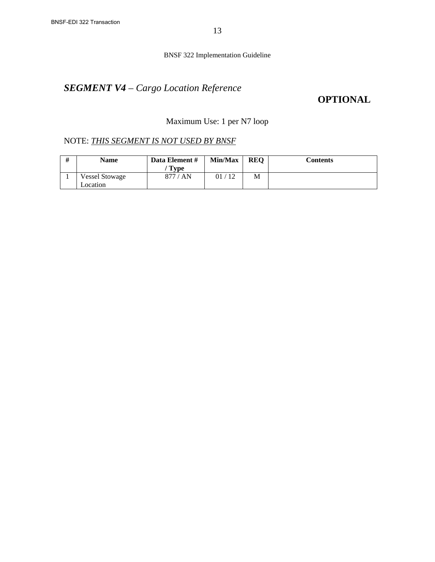# *SEGMENT V4 – Cargo Location Reference*

## **OPTIONAL**

### Maximum Use: 1 per N7 loop

| <b>Name</b>                       | Data Element #<br>' Type | Min/Max | <b>REO</b> | Contents |
|-----------------------------------|--------------------------|---------|------------|----------|
| <b>Vessel Stowage</b><br>Location | 877 / AN                 | 01/12   | М          |          |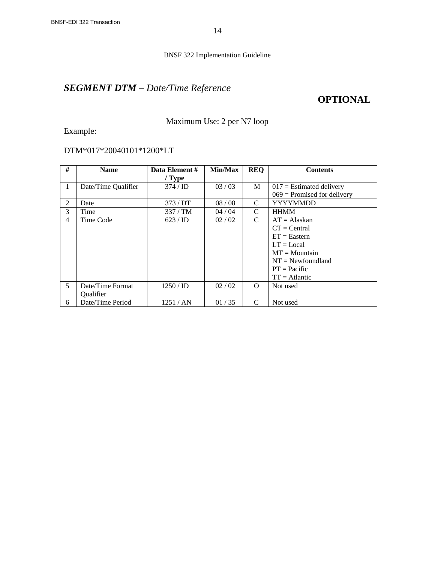# *SEGMENT DTM – Date/Time Reference*

### **OPTIONAL**

### Maximum Use: 2 per N7 loop

Example:

### DTM\*017\*20040101\*1200\*LT

| #              | <b>Name</b>         | Data Element #      | Min/Max | <b>REQ</b> | <b>Contents</b>               |
|----------------|---------------------|---------------------|---------|------------|-------------------------------|
|                |                     | $/$ Type            |         |            |                               |
| $\mathbf{1}$   | Date/Time Qualifier | $374 / \mathrm{ID}$ | 03/03   | M          | $017$ = Estimated delivery    |
|                |                     |                     |         |            | $069$ = Promised for delivery |
| 2              | Date                | 373/DT              | 08/08   | C          | <b>YYYYMMDD</b>               |
| 3              | Time                | 337/TM              | 04/04   | C          | <b>HHMM</b>                   |
| $\overline{4}$ | Time Code           | 623 / ID            | 02/02   | C          | $AT = Alaskaan$               |
|                |                     |                     |         |            | $CT = Central$                |
|                |                     |                     |         |            | $ET = Eastern$                |
|                |                     |                     |         |            | $LT = Local$                  |
|                |                     |                     |         |            | $MT = Mountain$               |
|                |                     |                     |         |            | $NT = Newtondland$            |
|                |                     |                     |         |            | $PT = Pacific$                |
|                |                     |                     |         |            | $TT = Atlantic$               |
| $\mathfrak{H}$ | Date/Time Format    | $1250 /$ ID         | 02 / 02 | 0          | Not used                      |
|                | <b>Oualifier</b>    |                     |         |            |                               |
| 6              | Date/Time Period    | 1251/AN             | 01/35   | C          | Not used                      |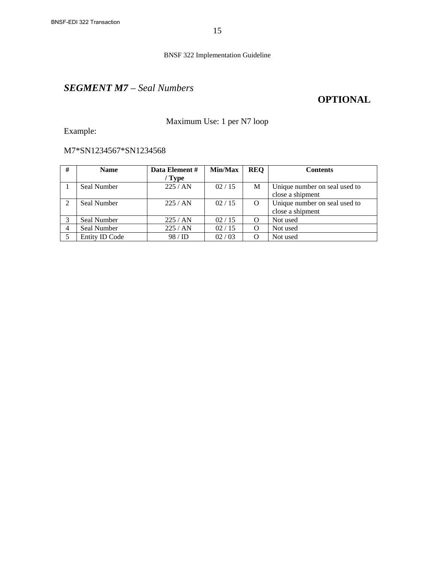## *SEGMENT M7 – Seal Numbers*

### **OPTIONAL**

### Maximum Use: 1 per N7 loop

Example:

### M7\*SN1234567\*SN1234568

| #              | <b>Name</b>        | Data Element # | Min/Max | <b>REQ</b> | <b>Contents</b>               |
|----------------|--------------------|----------------|---------|------------|-------------------------------|
|                |                    | / Type         |         |            |                               |
|                | Seal Number        | 225/AN         | 02/15   | M          | Unique number on seal used to |
|                |                    |                |         |            | close a shipment              |
|                | Seal Number        | 225/AN         | 02/15   | $\Omega$   | Unique number on seal used to |
|                |                    |                |         |            | close a shipment              |
|                | <b>Seal Number</b> | 225/AN         | 02/15   | O          | Not used                      |
| $\overline{4}$ | <b>Seal Number</b> | 225/AN         | 02/15   | $\Omega$   | Not used                      |
|                | Entity ID Code     | 98/ID          | 02/03   | $\Omega$   | Not used                      |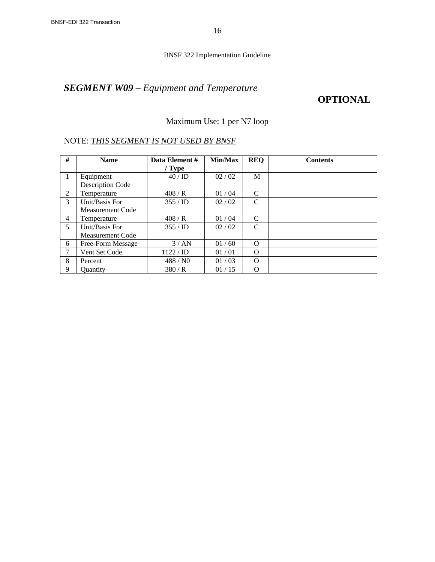# *SEGMENT W09 – Equipment and Temperature*

### **OPTIONAL**

### Maximum Use: 1 per N7 loop

| #              | <b>Name</b>             | Data Element #      | Min/Max | <b>REQ</b>    | <b>Contents</b> |
|----------------|-------------------------|---------------------|---------|---------------|-----------------|
|                |                         | $/$ Type            |         |               |                 |
| -1             | Equipment               | 40/ID               | 02/02   | M             |                 |
|                | <b>Description Code</b> |                     |         |               |                 |
| 2              | Temperature             | 408/R               | 01/04   | C             |                 |
| 3              | Unit/Basis For          | $355 / \mathrm{ID}$ | 02/02   | C             |                 |
|                | <b>Measurement Code</b> |                     |         |               |                 |
| $\overline{4}$ | Temperature             | 408/R               | 01/04   | $\mathcal{C}$ |                 |
| 5              | Unit/Basis For          | $355 / \mathrm{ID}$ | 02/02   | C             |                 |
|                | <b>Measurement Code</b> |                     |         |               |                 |
| 6              | Free-Form Message       | 3/AN                | 01/60   | $\Omega$      |                 |
| 7              | Vent Set Code           | 1122/D              | 01/01   | $\Omega$      |                 |
| 8              | Percent                 | 488/N0              | 01/03   | $\Omega$      |                 |
| 9              | <b>Ouantity</b>         | 380/R               | 01/15   | $\Omega$      |                 |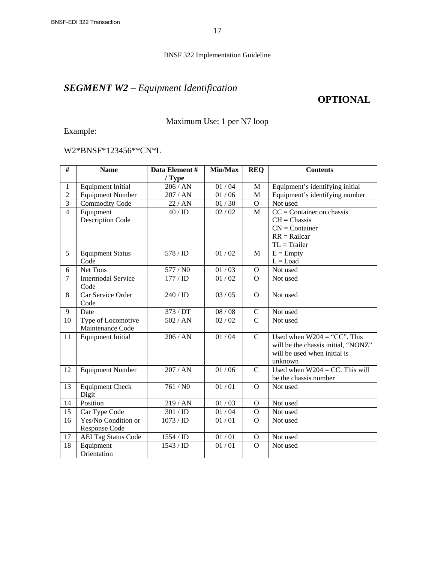# *SEGMENT W2 – Equipment Identification*

### **OPTIONAL**

### Maximum Use: 1 per N7 loop

Example:

### W2\*BNSF\*123456\*\*CN\*L

| #               | <b>Name</b>                | Data Element#       | Min/Max     | <b>REQ</b>     | <b>Contents</b>                     |
|-----------------|----------------------------|---------------------|-------------|----------------|-------------------------------------|
|                 |                            | $/$ Type            |             |                |                                     |
| 1               | <b>Equipment Initial</b>   | 206 / AN            | 01 / 04     | M              | Equipment's identifying initial     |
| $\overline{2}$  | <b>Equipment Number</b>    | 207 / AN            | 01/06       | $\mathbf{M}$   | Equipment's identifying number      |
| $\overline{3}$  | Commodity Code             | 22 / AN             | 01/30       | $\mathbf O$    | Not used                            |
| $\overline{4}$  | Equipment                  | 40/ID               | 02 / 02     | M              | $CC =$ Container on chassis         |
|                 | <b>Description Code</b>    |                     |             |                | $CH = Chassis$                      |
|                 |                            |                     |             |                | $CN =$ Container                    |
|                 |                            |                     |             |                | $RR = \text{Railcar}$               |
|                 |                            |                     |             |                | $TL = Trailer$                      |
| 5               | <b>Equipment Status</b>    | 578 / ID            | 01/02       | M              | $E =$ Empty                         |
|                 | Code                       |                     |             |                | $L =$ Load                          |
| 6               | <b>Net Tons</b>            | 577 / NO            | 01/03       | $\mathbf{O}$   | Not used                            |
| $\overline{7}$  | <b>Intermodal Service</b>  | 177 / ID            | 01/02       | $\overline{O}$ | Not used                            |
|                 | Code                       |                     |             |                |                                     |
| 8               | Car Service Order          | 240 / <sub>ID</sub> | 03 / 05     | $\mathbf{O}$   | Not used                            |
|                 | Code                       |                     |             |                |                                     |
| 9               | Date                       | 373 / DT            | 08/08       | $\mathbf C$    | Not used                            |
| 10              | Type of Locomotive         | 502 / AN            | 02 / 02     | $\overline{C}$ | Not used                            |
|                 | Maintenance Code           |                     |             |                |                                     |
| $\overline{11}$ | <b>Equipment Initial</b>   | 206 / AN            | 01/04       | $\overline{C}$ | Used when $W204 = "CC"$ . This      |
|                 |                            |                     |             |                | will be the chassis initial, "NONZ" |
|                 |                            |                     |             |                | will be used when initial is        |
|                 |                            |                     |             |                | unknown                             |
| 12              | <b>Equipment Number</b>    | 207 / AN            | 01/06       | $\mathbf C$    | Used when $W204 = CC$ . This will   |
|                 |                            |                     |             |                | be the chassis number               |
| 13              | <b>Equipment Check</b>     | 761 / N0            | 01/01       | $\Omega$       | Not used                            |
|                 | Digit                      |                     |             |                |                                     |
| 14              | Position                   | 219 / AN            | 01/03       | $\mathbf{O}$   | Not used                            |
| $\overline{15}$ | Car Type Code              | 301 / ID            | 01/04       | $\overline{O}$ | Not used                            |
| 16              | Yes/No Condition or        | 1073 / ID           | 01/01       | $\mathbf O$    | Not used                            |
|                 | Response Code              |                     |             |                |                                     |
| 17              | <b>AEI Tag Status Code</b> | 1554 / ID           | $01/01$     | $\mathbf{O}$   | Not used                            |
| 18              | Equipment                  | 1543 / ID           | $01\,/\,01$ | $\mathbf{O}$   | Not used                            |
|                 | Orientation                |                     |             |                |                                     |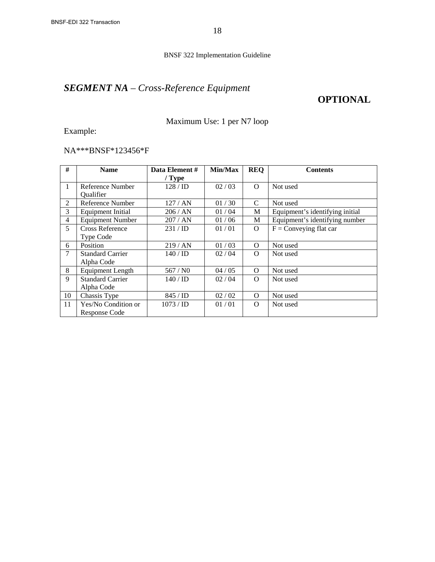# *SEGMENT NA – Cross-Reference Equipment*

### **OPTIONAL**

### Maximum Use: 1 per N7 loop

Example:

### NA\*\*\*BNSF\*123456\*F

| #              | <b>Name</b>              | Data Element #      | Min/Max | <b>REQ</b>     | <b>Contents</b>                 |
|----------------|--------------------------|---------------------|---------|----------------|---------------------------------|
|                |                          | $/$ Type            |         |                |                                 |
| $\overline{1}$ | Reference Number         | 128 / <sup>ID</sup> | 02/03   | $\Omega$       | Not used                        |
|                | Qualifier                |                     |         |                |                                 |
| $\overline{2}$ | Reference Number         | 127/AN              | 01/30   | C              | Not used                        |
| 3              | <b>Equipment Initial</b> | 206 / AN            | 01/04   | М              | Equipment's identifying initial |
| $\overline{4}$ | <b>Equipment Number</b>  | 207/AN              | 01/06   | M              | Equipment's identifying number  |
| 5              | <b>Cross Reference</b>   | 231 / ID            | 01/01   | $\overline{O}$ | $F =$ Conveying flat car        |
|                | Type Code                |                     |         |                |                                 |
| 6              | Position                 | 219/AN              | 01/03   | $\Omega$       | Not used                        |
| $\tau$         | <b>Standard Carrier</b>  | 140/ID              | 02 / 04 | $\overline{O}$ | Not used                        |
|                | Alpha Code               |                     |         |                |                                 |
| 8              | <b>Equipment Length</b>  | 567 / NO            | 04/05   | $\Omega$       | Not used                        |
| 9              | <b>Standard Carrier</b>  | 140 / ID            | 02 / 04 | $\Omega$       | Not used                        |
|                | Alpha Code               |                     |         |                |                                 |
| 10             | Chassis Type             | 845 / <b>ID</b>     | 02 / 02 | $\Omega$       | Not used                        |
| 11             | Yes/No Condition or      | $1073 /$ ID         | 01/01   | $\Omega$       | Not used                        |
|                | Response Code            |                     |         |                |                                 |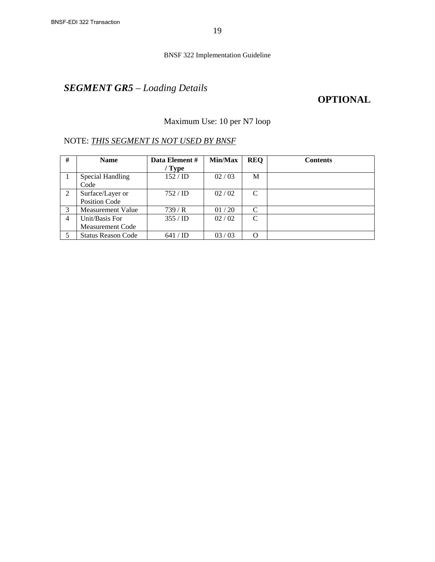# *SEGMENT GR5 – Loading Details*

## **OPTIONAL**

### Maximum Use: 10 per N7 loop

| #              | <b>Name</b>               | Data Element #      | Min/Max | <b>REO</b>    | <b>Contents</b> |
|----------------|---------------------------|---------------------|---------|---------------|-----------------|
|                |                           | $/$ Type            |         |               |                 |
|                | Special Handling          | 152 / ID            | 02/03   | М             |                 |
|                | Code                      |                     |         |               |                 |
| 2              | Surface/Layer or          | $752 / \mathrm{ID}$ | 02/02   | C             |                 |
|                | Position Code             |                     |         |               |                 |
| 3              | Measurement Value         | 739/R               | 01/20   | C             |                 |
| $\overline{4}$ | Unit/Basis For            | $355 / \mathrm{ID}$ | 02/02   | $\mathcal{C}$ |                 |
|                | <b>Measurement Code</b>   |                     |         |               |                 |
|                | <b>Status Reason Code</b> | 641                 | 03/03   | O             |                 |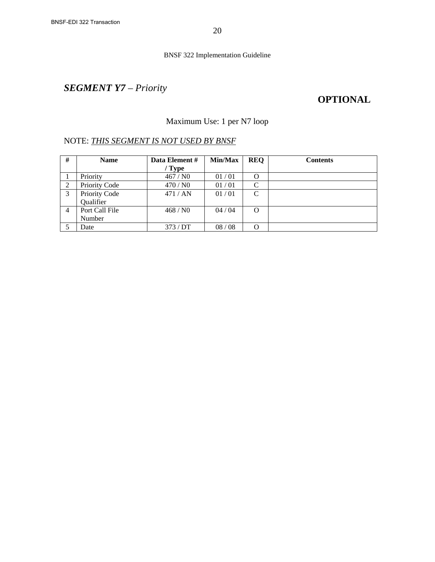# *SEGMENT Y7 – Priority*

## **OPTIONAL**

### Maximum Use: 1 per N7 loop

| #              | <b>Name</b>    | Data Element # | <b>Min/Max</b> | <b>REQ</b>    | <b>Contents</b> |
|----------------|----------------|----------------|----------------|---------------|-----------------|
|                |                | / Type         |                |               |                 |
|                | Priority       | 467/N0         | 01/01          | O             |                 |
| 2              | Priority Code  | 470/N0         | 01/01          | $\mathcal{C}$ |                 |
| 3              | Priority Code  | 471/AN         | 01/01          | $\mathcal{C}$ |                 |
|                | Qualifier      |                |                |               |                 |
| $\overline{4}$ | Port Call File | 468/N0         | 04/04          | O             |                 |
|                | Number         |                |                |               |                 |
|                | Date           | 373/DT         | 08/08          | O             |                 |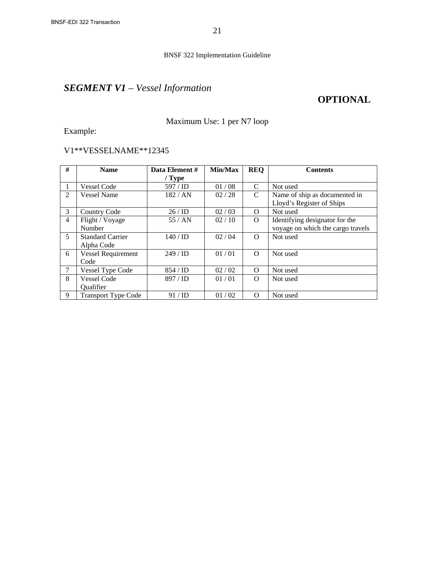# *SEGMENT V1 – Vessel Information*

### **OPTIONAL**

### Maximum Use: 1 per N7 loop

Example:

### V1\*\*VESSELNAME\*\*12345

| #              | <b>Name</b>                | Data Element#     | Min/Max | <b>REQ</b>    | <b>Contents</b>                   |
|----------------|----------------------------|-------------------|---------|---------------|-----------------------------------|
|                |                            | $/$ Type          |         |               |                                   |
|                | <b>Vessel Code</b>         | 597 / ID          | 01/08   | C             | Not used                          |
| 2              | <b>Vessel Name</b>         | 182 / AN          | 02/28   | $\mathcal{C}$ | Name of ship as documented in     |
|                |                            |                   |         |               | Lloyd's Register of Ships         |
| 3              | <b>Country Code</b>        | 26/ID             | 02/03   | $\Omega$      | Not used                          |
| $\overline{4}$ | Flight / Voyage            | 55/AN             | 02/10   | $\Omega$      | Identifying designator for the    |
|                | Number                     |                   |         |               | voyage on which the cargo travels |
| $\mathfrak{H}$ | <b>Standard Carrier</b>    | $140 / \text{ID}$ | 02 / 04 | $\Omega$      | Not used                          |
|                | Alpha Code                 |                   |         |               |                                   |
| 6              | <b>Vessel Requirement</b>  | $249 / \text{ID}$ | 01/01   | $\Omega$      | Not used                          |
|                | Code                       |                   |         |               |                                   |
| 7              | Vessel Type Code           | 854 / <b>ID</b>   | 02 / 02 | $\Omega$      | Not used                          |
| 8              | <b>Vessel Code</b>         | 897 / ID          | 01/01   | $\Omega$      | Not used                          |
|                | Qualifier                  |                   |         |               |                                   |
| 9              | <b>Transport Type Code</b> | 91 / ID           | 01/02   | $\Omega$      | Not used                          |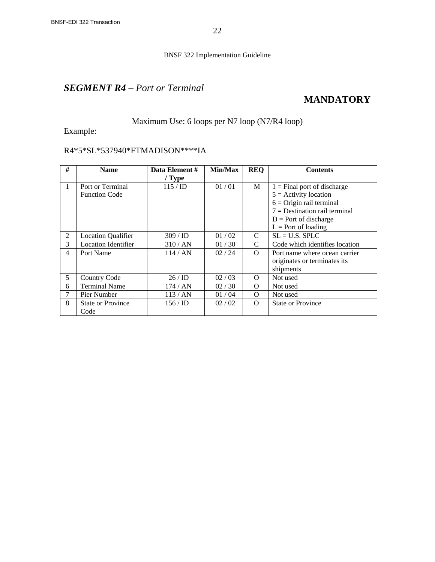### *SEGMENT R4 – Port or Terminal*

## **MANDATORY**

### Maximum Use: 6 loops per N7 loop (N7/R4 loop)

Example:

### R4\*5\*SL\*537940\*FTMADISON\*\*\*\*IA

| #              | <b>Name</b>                | Data Element # | Min/Max | <b>REQ</b> | <b>Contents</b>                 |
|----------------|----------------------------|----------------|---------|------------|---------------------------------|
|                |                            | $/$ Type       |         |            |                                 |
| $\mathbf{1}$   | Port or Terminal           | 115/ID         | 01/01   | M          | $1 =$ Final port of discharge   |
|                | <b>Function Code</b>       |                |         |            | $5 =$ Activity location         |
|                |                            |                |         |            | $6 =$ Origin rail terminal      |
|                |                            |                |         |            | $7 =$ Destination rail terminal |
|                |                            |                |         |            | $D =$ Port of discharge         |
|                |                            |                |         |            | $L =$ Port of loading           |
| 2              | <b>Location Qualifier</b>  | $309 /$ ID     | 01/02   | C          | $SL = U.S.$ SPLC                |
| 3              | <b>Location Identifier</b> | 310/AN         | 01/30   | C          | Code which identifies location  |
| $\overline{4}$ | Port Name                  | 114/AN         | 02/24   | $\Omega$   | Port name where ocean carrier   |
|                |                            |                |         |            | originates or terminates its    |
|                |                            |                |         |            | shipments                       |
| 5              | <b>Country Code</b>        | 26/ID          | 02/03   | $\Omega$   | Not used                        |
| 6              | <b>Terminal Name</b>       | 174/AN         | 02/30   | $\Omega$   | Not used                        |
| 7              | Pier Number                | 113/AN         | 01/04   | $\Omega$   | Not used                        |
| 8              | <b>State or Province</b>   | 156/ID         | 02 / 02 | $\Omega$   | <b>State or Province</b>        |
|                | Code                       |                |         |            |                                 |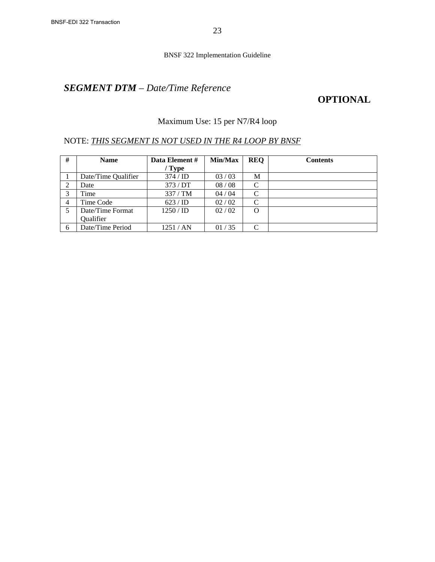# *SEGMENT DTM – Date/Time Reference*

## **OPTIONAL**

### Maximum Use: 15 per N7/R4 loop

### NOTE: *THIS SEGMENT IS NOT USED IN THE R4 LOOP BY BNSF*

| #              | <b>Name</b>         | Data Element #      | Min/Max | <b>REQ</b>    | <b>Contents</b> |
|----------------|---------------------|---------------------|---------|---------------|-----------------|
|                |                     | / Type              |         |               |                 |
|                | Date/Time Qualifier | $374 / \mathrm{ID}$ | 03/03   | М             |                 |
| 2              | Date                | 373/DT              | 08/08   | C             |                 |
| 3              | Time                | 337/TM              | 04/04   | C             |                 |
| $\overline{4}$ | Time Code           | 623 / ID            | 02/02   | $\mathcal{C}$ |                 |
|                | Date/Time Format    | $1250 /$ ID         | 02/02   | $\Omega$      |                 |
|                | Qualifier           |                     |         |               |                 |
| 6              | Date/Time Period    | 1251 / AN           | 01/35   | C             |                 |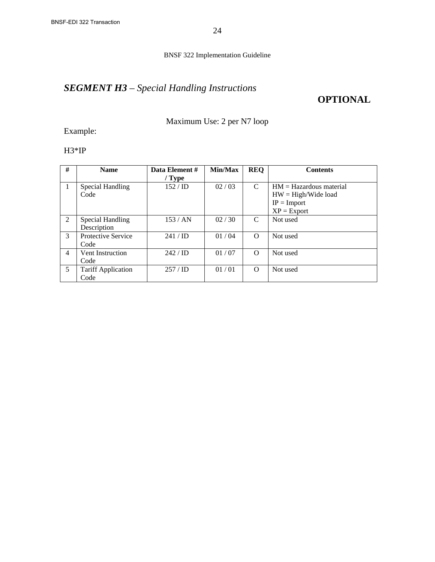# *SEGMENT H3 – Special Handling Instructions*

### **OPTIONAL**

Maximum Use: 2 per N7 loop

Example:

H3\*IP

| #              | <b>Name</b>                       | Data Element #<br>$/$ Type | Min/Max | <b>REQ</b> | <b>Contents</b>                                                                      |
|----------------|-----------------------------------|----------------------------|---------|------------|--------------------------------------------------------------------------------------|
| $\overline{1}$ | Special Handling<br>Code          | 152/ID                     | 02/03   | C          | $HM = Hazardous material$<br>$HW = High/Wide load$<br>$IP = Import$<br>$XP = Export$ |
| 2              | Special Handling<br>Description   | 153/AN                     | 02/30   | C          | Not used                                                                             |
| 3              | <b>Protective Service</b><br>Code | $241 / \text{ID}$          | 01/04   | $\Omega$   | Not used                                                                             |
| $\overline{4}$ | Vent Instruction<br>Code          | $242 / \text{ID}$          | 01/07   | $\Omega$   | Not used                                                                             |
| 5              | <b>Tariff Application</b><br>Code | $257 / \mathrm{ID}$        | 01/01   | $\Omega$   | Not used                                                                             |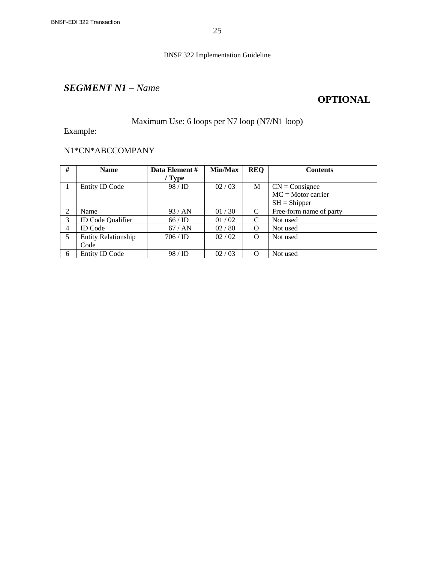## *SEGMENT N1 – Name*

## **OPTIONAL**

### Maximum Use: 6 loops per N7 loop (N7/N1 loop)

Example:

### N1\*CN\*ABCCOMPANY

| #              | <b>Name</b>                | Data Element #    | Min/Max | <b>REQ</b>    | <b>Contents</b>         |
|----------------|----------------------------|-------------------|---------|---------------|-------------------------|
|                |                            | / Type            |         |               |                         |
|                | Entity ID Code             | 98/ID             | 02/03   | М             | $CN = Consider$         |
|                |                            |                   |         |               | $MC = Motor carrier$    |
|                |                            |                   |         |               | $SH = Shipper$          |
| 2              | Name                       | 93/AN             | 01/30   | C             | Free-form name of party |
| 3              | <b>ID Code Qualifier</b>   | 66/ID             | 01/02   | $\mathcal{C}$ | Not used                |
| $\overline{4}$ | <b>ID</b> Code             | 67/AN             | 02/80   | O             | Not used                |
| 5              | <b>Entity Relationship</b> | $706 / \text{ID}$ | 02 / 02 | $\Omega$      | Not used                |
|                | Code                       |                   |         |               |                         |
| 6              | Entity ID Code             | 98/ID             | 02/03   | $\Omega$      | Not used                |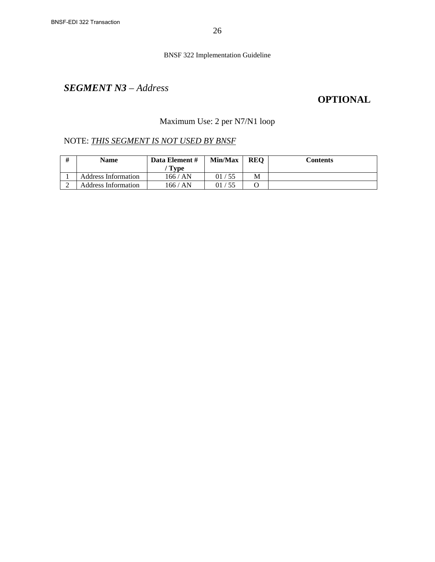## *SEGMENT N3 – Address*

## **OPTIONAL**

### Maximum Use: 2 per N7/N1 loop

| # | <b>Name</b>         | Data Element #<br>' Type | Min/Max | <b>REO</b> | Contents |
|---|---------------------|--------------------------|---------|------------|----------|
|   | Address Information | 166 / AN                 | 01/55   | М          |          |
|   | Address Information | 166 / AN                 | 01/55   |            |          |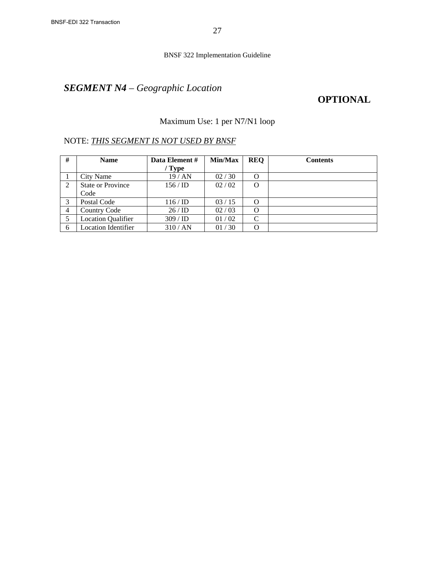# *SEGMENT N4 – Geographic Location*

## **OPTIONAL**

### Maximum Use: 1 per N7/N1 loop

| #              | <b>Name</b>                | Data Element # | Min/Max | <b>REQ</b> | <b>Contents</b> |
|----------------|----------------------------|----------------|---------|------------|-----------------|
|                |                            | / Type         |         |            |                 |
|                | City Name                  | 19/AN          | 02/30   | O          |                 |
| 2              | <b>State or Province</b>   | 156/ID         | 02 / 02 | O          |                 |
|                | Code                       |                |         |            |                 |
| 3              | Postal Code                | 116/ID         | 03/15   | O          |                 |
| $\overline{4}$ | <b>Country Code</b>        | 26/ID          | 02/03   | O          |                 |
|                | <b>Location Qualifier</b>  | 309 / ID       | 01/02   | C          |                 |
| 6              | <b>Location Identifier</b> | 310/AN         | 01/30   | O          |                 |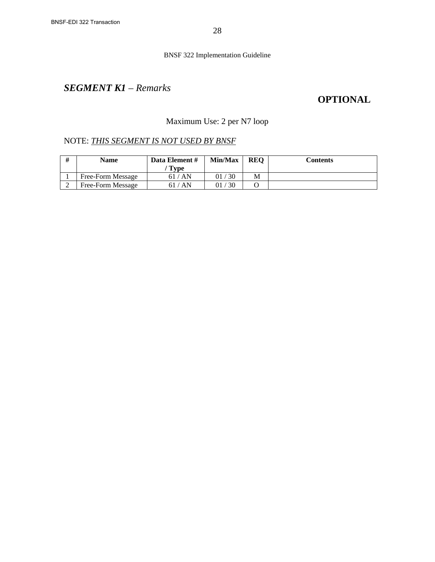## *SEGMENT K1 – Remarks*

## **OPTIONAL**

### Maximum Use: 2 per N7 loop

| # | <b>Name</b>       | Data Element #<br>' Type | Min/Max    | <b>REO</b> | Contents |
|---|-------------------|--------------------------|------------|------------|----------|
|   | Free-Form Message | 61/AN                    | /30<br>91. | М          |          |
|   | Free-Form Message | ' AN<br>61               | 30         |            |          |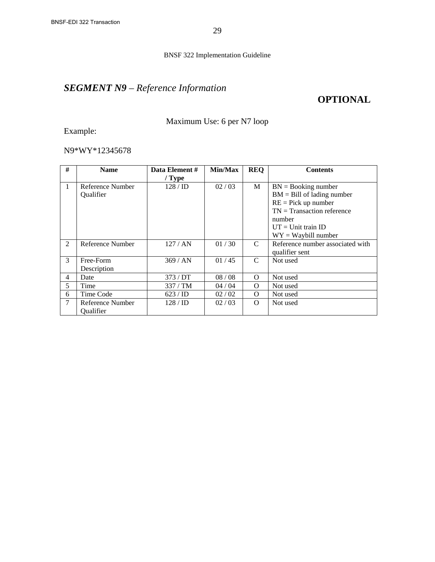# *SEGMENT N9 – Reference Information*

### **OPTIONAL**

### Maximum Use: 6 per N7 loop

Example:

### N9\*WY\*12345678

| #              | <b>Name</b>      | Data Element #      | Min/Max | <b>REQ</b>   | <b>Contents</b>                  |
|----------------|------------------|---------------------|---------|--------------|----------------------------------|
|                |                  | / Type              |         |              |                                  |
| 1              | Reference Number | 128/ID              | 02/03   | M            | $BN = Booking number$            |
|                | Qualifier        |                     |         |              | $BM = Bill$ of lading number     |
|                |                  |                     |         |              | $RE = Pick up number$            |
|                |                  |                     |         |              | $TN = Transaction reference$     |
|                |                  |                     |         |              | number                           |
|                |                  |                     |         |              | $UT = Unit train ID$             |
|                |                  |                     |         |              | $WY = Waybill number$            |
| $\mathfrak{D}$ | Reference Number | 127/AN              | 01/30   | $\mathsf{C}$ | Reference number associated with |
|                |                  |                     |         |              | qualifier sent                   |
| $\mathcal{F}$  | Free-Form        | 369/AN              | 01/45   | $\mathsf{C}$ | Not used                         |
|                | Description      |                     |         |              |                                  |
| 4              | Date             | 373/DT              | 08/08   | $\Omega$     | Not used                         |
| 5              | Time             | 337/TM              | 04/04   | $\Omega$     | Not used                         |
| 6              | Time Code        | 623 / ID            | 02 / 02 | $\Omega$     | Not used                         |
| $\tau$         | Reference Number | $128 / \mathrm{ID}$ | 02/03   | $\Omega$     | Not used                         |
|                | Qualifier        |                     |         |              |                                  |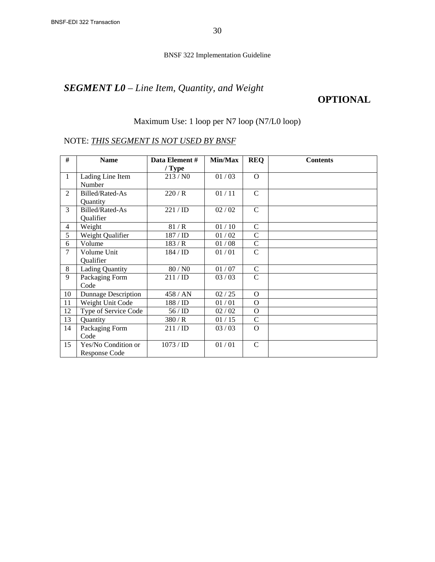# *SEGMENT L0 – Line Item, Quantity, and Weight*

## **OPTIONAL**

#### Maximum Use: 1 loop per N7 loop (N7/L0 loop)

| #              | <b>Name</b>                | Data Element#<br>/ Type | Min/Max | <b>REQ</b>    | <b>Contents</b> |
|----------------|----------------------------|-------------------------|---------|---------------|-----------------|
| 1              | Lading Line Item           | 213/N0                  | 01/03   | $\Omega$      |                 |
|                | Number                     |                         |         |               |                 |
| $\mathfrak{D}$ | Billed/Rated-As            | 220/R                   | 01/11   | $\mathbf C$   |                 |
|                | Quantity                   |                         |         |               |                 |
| 3              | Billed/Rated-As            | 221 / ID                | 02 / 02 | $\mathsf{C}$  |                 |
|                | Qualifier                  |                         |         |               |                 |
| $\overline{4}$ | Weight                     | 81/R                    | 01/10   | $\mathcal{C}$ |                 |
| 5              | Weight Qualifier           | 187 / ID                | 01/02   | $\mathbf C$   |                 |
| 6              | Volume                     | 183/R                   | 01/08   | $\mathbf C$   |                 |
| 7              | Volume Unit                | 184 / ID                | 01/01   | $\mathcal{C}$ |                 |
|                | Qualifier                  |                         |         |               |                 |
| 8              | <b>Lading Quantity</b>     | 80 / N0                 | 01 / 07 | $\mathsf{C}$  |                 |
| 9              | Packaging Form             | 211 / ID                | 03/03   | $\mathsf{C}$  |                 |
|                | Code                       |                         |         |               |                 |
| 10             | <b>Dunnage Description</b> | 458 / AN                | 02/25   | $\mathbf{O}$  |                 |
| 11             | Weight Unit Code           | $188 / \mathrm{ID}$     | 01/01   | $\Omega$      |                 |
| 12             | Type of Service Code       | 56/ID                   | 02 / 02 | $\Omega$      |                 |
| 13             | Quantity                   | 380/R                   | 01/15   | $\mathsf{C}$  |                 |
| 14             | Packaging Form             | 211 / ID                | 03/03   | $\Omega$      |                 |
|                | Code                       |                         |         |               |                 |
| 15             | Yes/No Condition or        | 1073 / ID               | 01/01   | $\mathcal{C}$ |                 |
|                | Response Code              |                         |         |               |                 |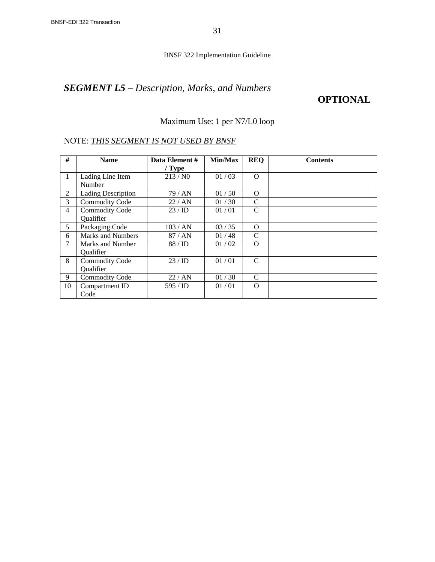# *SEGMENT L5 – Description, Marks, and Numbers*

### **OPTIONAL**

### Maximum Use: 1 per N7/L0 loop

| #              | <b>Name</b>                        | Data Element #<br>$/$ Type | Min/Max | <b>REQ</b>    | <b>Contents</b> |
|----------------|------------------------------------|----------------------------|---------|---------------|-----------------|
| $\mathbf{1}$   | Lading Line Item<br>Number         | 213/N0                     | 01/03   | $\Omega$      |                 |
| 2              | <b>Lading Description</b>          | 79 / AN                    | 01/50   | $\Omega$      |                 |
| 3              | <b>Commodity Code</b>              | 22/AN                      | 01/30   | C             |                 |
| $\overline{4}$ | <b>Commodity Code</b><br>Qualifier | 23/ID                      | 01/01   | $\mathcal{C}$ |                 |
| 5              | Packaging Code                     | 103/AN                     | 03/35   | $\Omega$      |                 |
| 6              | <b>Marks and Numbers</b>           | 87/AN                      | 01/48   | C             |                 |
| $\tau$         | Marks and Number<br>Qualifier      | 88/ID                      | 01/02   | $\Omega$      |                 |
| 8              | <b>Commodity Code</b><br>Qualifier | 23/ID                      | 01/01   | C             |                 |
| 9              | <b>Commodity Code</b>              | 22 / AN                    | 01/30   | C             |                 |
| 10             | Compartment ID<br>Code             | 595 / <b>ID</b>            | 01/01   | $\Omega$      |                 |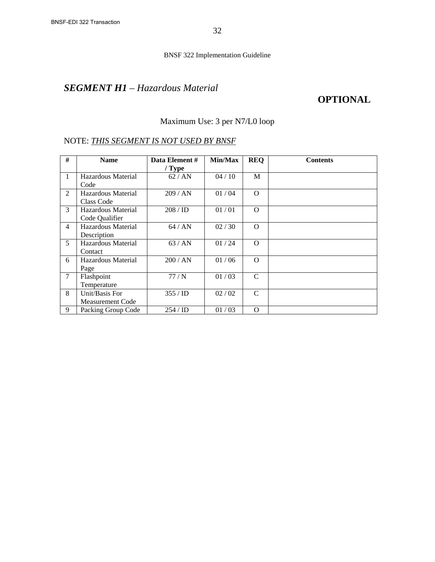## *SEGMENT H1 – Hazardous Material*

### **OPTIONAL**

### Maximum Use: 3 per N7/L0 loop

| #              | <b>Name</b>             | Data Element #      | Min/Max | <b>REQ</b>    | <b>Contents</b> |
|----------------|-------------------------|---------------------|---------|---------------|-----------------|
|                |                         | $/$ Type            |         |               |                 |
| $\mathbf{1}$   | Hazardous Material      | 62/AN               | 04/10   | M             |                 |
|                | Code                    |                     |         |               |                 |
| 2              | Hazardous Material      | 209/AN              | 01/04   | $\Omega$      |                 |
|                | Class Code              |                     |         |               |                 |
| 3              | Hazardous Material      | 208 / ID            | 01/01   | $\Omega$      |                 |
|                | Code Qualifier          |                     |         |               |                 |
| $\overline{4}$ | Hazardous Material      | 64/AN               | 02/30   | $\Omega$      |                 |
|                | Description             |                     |         |               |                 |
| 5              | Hazardous Material      | 63/AN               | 01/24   | $\Omega$      |                 |
|                | Contact                 |                     |         |               |                 |
| 6              | Hazardous Material      | 200 / AN            | 01/06   | $\Omega$      |                 |
|                | Page                    |                     |         |               |                 |
| $\tau$         | Flashpoint              | 77/N                | 01/03   | $\mathcal{C}$ |                 |
|                | Temperature             |                     |         |               |                 |
| 8              | Unit/Basis For          | $355 / \mathrm{ID}$ | 02 / 02 | C             |                 |
|                | <b>Measurement Code</b> |                     |         |               |                 |
| 9              | Packing Group Code      | 254/ID              | 01/03   | $\Omega$      |                 |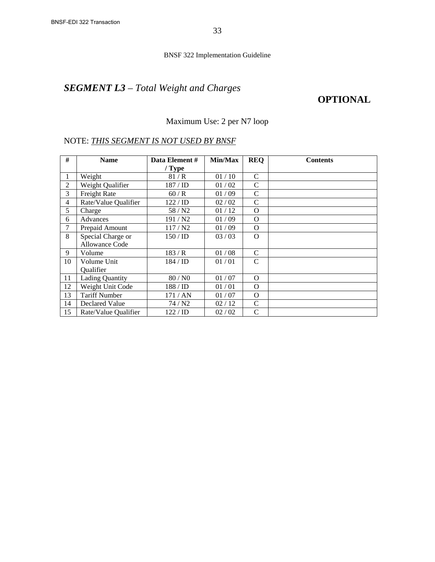# *SEGMENT L3 – Total Weight and Charges*

### **OPTIONAL**

### Maximum Use: 2 per N7 loop

| #              | <b>Name</b>            | Data Element #       | Min/Max | <b>REQ</b>    | <b>Contents</b> |
|----------------|------------------------|----------------------|---------|---------------|-----------------|
|                |                        | $/$ Type             |         |               |                 |
| 1              | Weight                 | 81/R                 | 01/10   | $\mathcal{C}$ |                 |
| 2              | Weight Qualifier       | 187/ID               | 01/02   | $\mathcal{C}$ |                 |
| 3              | Freight Rate           | 60/R                 | 01/09   | $\mathsf{C}$  |                 |
| $\overline{4}$ | Rate/Value Qualifier   | $122 / \mathrm{ID}$  | 02/02   | $\mathbf C$   |                 |
| 5              | Charge                 | 58 / N2              | 01/12   | $\Omega$      |                 |
| 6              | <b>Advances</b>        | 191 / N <sub>2</sub> | 01/09   | $\Omega$      |                 |
| 7              | Prepaid Amount         | 117/N2               | 01/09   | $\Omega$      |                 |
| 8              | Special Charge or      | 150 / ID             | 03/03   | $\Omega$      |                 |
|                | Allowance Code         |                      |         |               |                 |
| 9              | Volume                 | 183/R                | 01/08   | $\mathsf{C}$  |                 |
| 10             | Volume Unit            | $184 / \mathrm{ID}$  | 01/01   | $\mathsf{C}$  |                 |
|                | Qualifier              |                      |         |               |                 |
| 11             | <b>Lading Quantity</b> | 80 / N <sub>0</sub>  | 01/07   | O             |                 |
| 12             | Weight Unit Code       | 188 / ID             | 01/01   | $\Omega$      |                 |
| 13             | <b>Tariff Number</b>   | 171 / AN             | 01/07   | $\Omega$      |                 |
| 14             | Declared Value         | 74/N2                | 02/12   | C             |                 |
| 15             | Rate/Value Qualifier   | 122 / ID             | 02 / 02 | $\mathsf{C}$  |                 |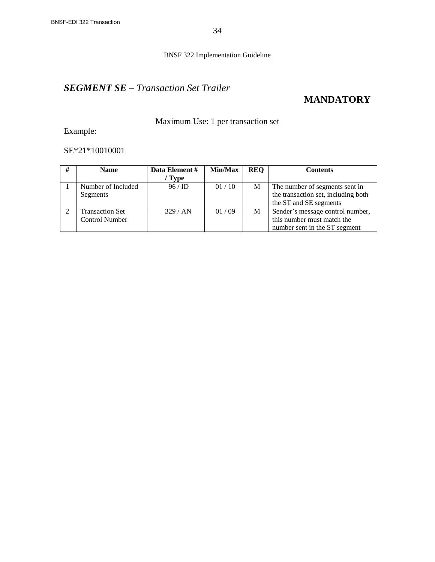## *SEGMENT SE – Transaction Set Trailer*

## **MANDATORY**

### Maximum Use: 1 per transaction set

Example:

SE\*21\*10010001

| # | <b>Name</b>            | Data Element #<br>' Type | Min/Max | <b>REQ</b> | <b>Contents</b>                     |
|---|------------------------|--------------------------|---------|------------|-------------------------------------|
|   |                        |                          |         |            |                                     |
|   | Number of Included     | 96/ID                    | 01/10   | M          | The number of segments sent in      |
|   | Segments               |                          |         |            | the transaction set, including both |
|   |                        |                          |         |            | the ST and SE segments              |
|   | <b>Transaction Set</b> | 329/AN                   | 01/09   | М          | Sender's message control number,    |
|   | <b>Control Number</b>  |                          |         |            | this number must match the          |
|   |                        |                          |         |            | number sent in the ST segment       |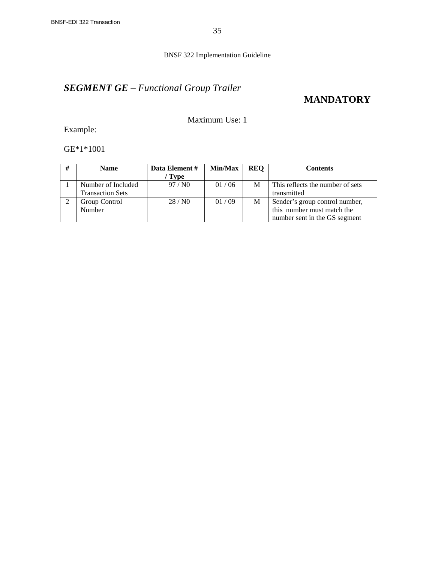# *SEGMENT GE – Functional Group Trailer*

## **MANDATORY**

Maximum Use: 1

Example:

GE\*1\*1001

| # | <b>Name</b>             | Data Element # | Min/Max | <b>REQ</b> | Contents                         |
|---|-------------------------|----------------|---------|------------|----------------------------------|
|   |                         | <b>Type</b>    |         |            |                                  |
|   | Number of Included      | 97/N0          | 01/06   | M          | This reflects the number of sets |
|   | <b>Transaction Sets</b> |                |         |            | transmitted                      |
|   | Group Control           | 28/N0          | 01/09   | M          | Sender's group control number,   |
|   | Number                  |                |         |            | this number must match the       |
|   |                         |                |         |            | number sent in the GS segment    |